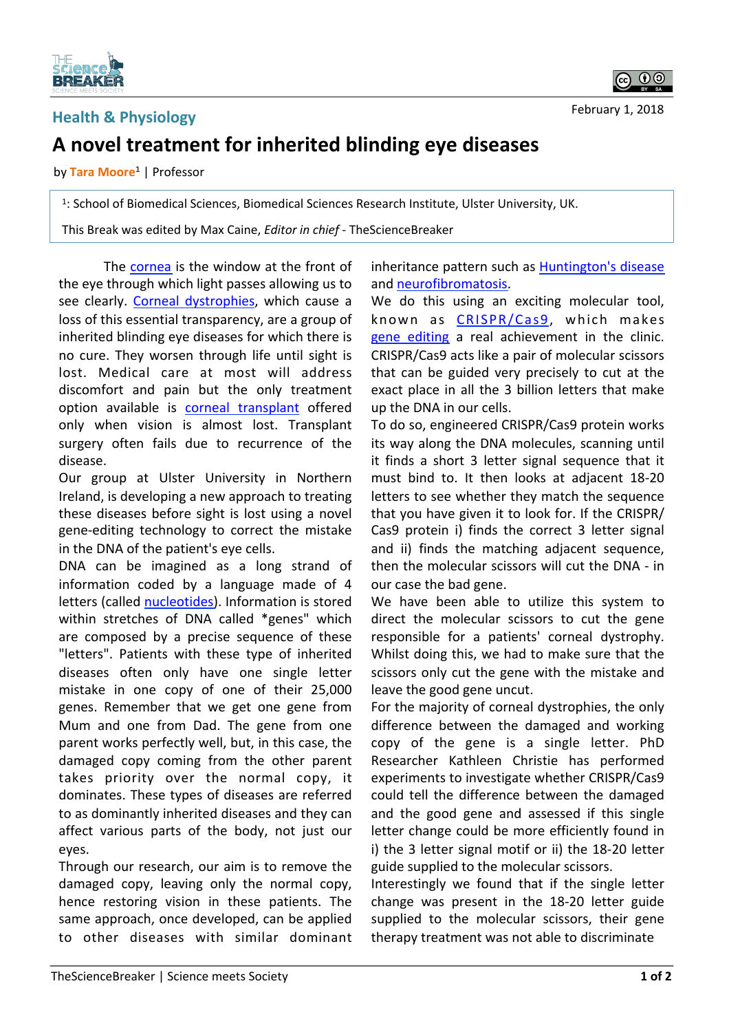

## **Health & Physiology**

February 1, 2018

## **A novel treatment for inherited blinding eye diseases**

by Tara Moore<sup>1</sup> | Professor

<sup>1</sup>: School of Biomedical Sciences, Biomedical Sciences Research Institute, Ulster University, UK.

This Break was edited by Max Caine, *Editor in chief* - TheScienceBreaker

The cornea is the window at the front of the eye through which light passes allowing us to see clearly. Corneal dystrophies, which cause a loss of this essential transparency, are a group of inherited blinding eye diseases for which there is no cure. They worsen through life until sight is lost. Medical care at most will address discomfort and pain but the only treatment option available is corneal transplant offered only when vision is almost lost. Transplant surgery often fails due to recurrence of the disease. 

Our group at Ulster University in Northern Ireland, is developing a new approach to treating these diseases before sight is lost using a novel gene-editing technology to correct the mistake in the DNA of the patient's eve cells.

DNA can be imagined as a long strand of information coded by a language made of  $4$ letters (called nucleotides). Information is stored within stretches of DNA called \*genes" which are composed by a precise sequence of these "letters". Patients with these type of inherited diseases often only have one single letter mistake in one copy of one of their 25,000 genes. Remember that we get one gene from Mum and one from Dad. The gene from one parent works perfectly well, but, in this case, the damaged copy coming from the other parent takes priority over the normal copy, it dominates. These types of diseases are referred to as dominantly inherited diseases and they can affect various parts of the body, not just our eyes. 

Through our research, our aim is to remove the damaged copy, leaving only the normal copy, hence restoring vision in these patients. The same approach, once developed, can be applied to other diseases with similar dominant inheritance pattern such as Huntington's disease and neurofibromatosis.

We do this using an exciting molecular tool, known as CRISPR/Cas9, which makes gene editing a real achievement in the clinic. CRISPR/Cas9 acts like a pair of molecular scissors that can be guided very precisely to cut at the exact place in all the 3 billion letters that make up the DNA in our cells.

To do so, engineered CRISPR/Cas9 protein works its way along the DNA molecules, scanning until it finds a short 3 letter signal sequence that it must bind to. It then looks at adjacent 18-20 letters to see whether they match the sequence that you have given it to look for. If the CRISPR/ Cas9 protein i) finds the correct 3 letter signal and ii) finds the matching adjacent sequence, then the molecular scissors will cut the DNA - in our case the bad gene.

We have been able to utilize this system to direct the molecular scissors to cut the gene responsible for a patients' corneal dystrophy. Whilst doing this, we had to make sure that the scissors only cut the gene with the mistake and leave the good gene uncut.

For the majority of corneal dystrophies, the only difference between the damaged and working copy of the gene is a single letter. PhD Researcher Kathleen Christie has performed experiments to investigate whether CRISPR/Cas9 could tell the difference between the damaged and the good gene and assessed if this single letter change could be more efficiently found in i) the 3 letter signal motif or ii) the 18-20 letter guide supplied to the molecular scissors.

Interestingly we found that if the single letter change was present in the 18-20 letter guide supplied to the molecular scissors, their gene therapy treatment was not able to discriminate